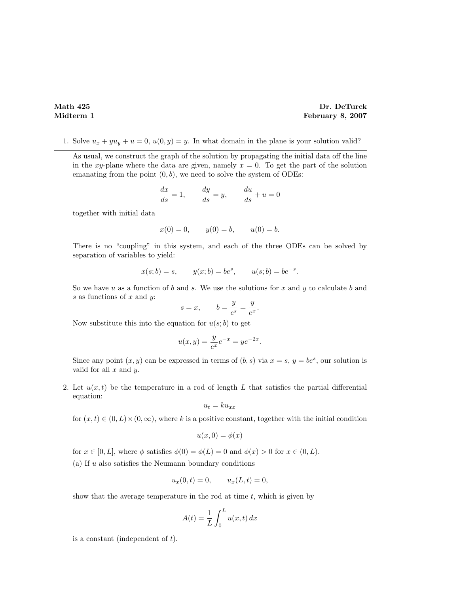## Math 425 Dr. DeTurck Midterm 1 February 8, 2007

1. Solve  $u_x + yu_y + u = 0$ ,  $u(0, y) = y$ . In what domain in the plane is your solution valid?

As usual, we construct the graph of the solution by propagating the initial data off the line in the xy-plane where the data are given, namely  $x = 0$ . To get the part of the solution emanating from the point  $(0, b)$ , we need to solve the system of ODEs:

$$
\frac{dx}{ds} = 1, \qquad \frac{dy}{ds} = y, \qquad \frac{du}{ds} + u = 0
$$

together with initial data

$$
x(0) = 0,
$$
  $y(0) = b,$   $u(0) = b.$ 

There is no "coupling" in this system, and each of the three ODEs can be solved by separation of variables to yield:

$$
x(s; b) = s,
$$
  $y(x; b) = be^s,$   $u(s; b) = be^{-s}.$ 

So we have u as a function of b and s. We use the solutions for x and y to calculate b and  $s$  as functions of  $x$  and  $y$ :

$$
s = x, \qquad b = \frac{y}{e^s} = \frac{y}{e^x}.
$$

Now substitute this into the equation for  $u(s; b)$  to get

$$
u(x,y) = \frac{y}{e^x}e^{-x} = ye^{-2x}
$$

.

Since any point  $(x, y)$  can be expressed in terms of  $(b, s)$  via  $x = s, y = be^s$ , our solution is valid for all  $x$  and  $y$ .

2. Let  $u(x, t)$  be the temperature in a rod of length L that satisfies the partial differential equation:

$$
u_t = k u_{xx}
$$

for  $(x, t) \in (0, L) \times (0, \infty)$ , where k is a positive constant, together with the initial condition

$$
u(x,0) = \phi(x)
$$

for  $x \in [0, L]$ , where  $\phi$  satisfies  $\phi(0) = \phi(L) = 0$  and  $\phi(x) > 0$  for  $x \in (0, L)$ .

(a) If  $u$  also satisfies the Neumann boundary conditions

$$
u_x(0,t) = 0,
$$
  $u_x(L,t) = 0,$ 

show that the average temperature in the rod at time  $t$ , which is given by

$$
A(t) = \frac{1}{L} \int_0^L u(x, t) \, dx
$$

is a constant (independent of  $t$ ).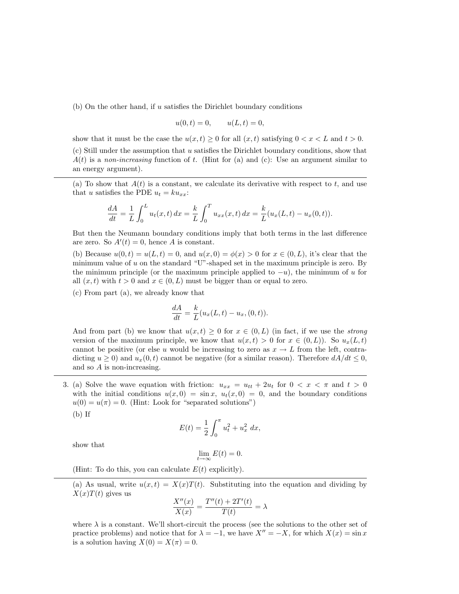(b) On the other hand, if  $u$  satisfies the Dirichlet boundary conditions

$$
u(0, t) = 0,
$$
  $u(L, t) = 0,$ 

show that it must be the case the  $u(x, t) \geq 0$  for all  $(x, t)$  satisfying  $0 < x < L$  and  $t > 0$ .

(c) Still under the assumption that u satisfies the Dirichlet boundary conditions, show that  $A(t)$  is a non-increasing function of t. (Hint for (a) and (c): Use an argument similar to an energy argument).

(a) To show that  $A(t)$  is a constant, we calculate its derivative with respect to t, and use that u satisfies the PDE  $u_t = k u_{xx}$ :

$$
\frac{dA}{dt} = \frac{1}{L} \int_0^L u_t(x, t) \, dx = \frac{k}{L} \int_0^T u_{xx}(x, t) \, dx = \frac{k}{L} (u_x(L, t) - u_x(0, t)).
$$

But then the Neumann boundary conditions imply that both terms in the last difference are zero. So  $A'(t) = 0$ , hence A is constant.

(b) Because  $u(0,t) = u(L,t) = 0$ , and  $u(x, 0) = \phi(x) > 0$  for  $x \in (0, L)$ , it's clear that the minimum value of u on the standard "U"-shaped set in the maximum principle is zero. By the minimum principle (or the maximum principle applied to  $-u$ ), the minimum of u for all  $(x, t)$  with  $t > 0$  and  $x \in (0, L)$  must be bigger than or equal to zero.

(c) From part (a), we already know that

$$
\frac{dA}{dt} = \frac{k}{L}(u_x(L,t) - u_x, (0,t)).
$$

And from part (b) we know that  $u(x, t) \geq 0$  for  $x \in (0, L)$  (in fact, if we use the *strong* version of the maximum principle, we know that  $u(x, t) > 0$  for  $x \in (0, L)$ ). So  $u_x(L, t)$ cannot be positive (or else u would be increasing to zero as  $x \to L$  from the left, contradicting  $u \ge 0$ ) and  $u_x(0, t)$  cannot be negative (for a similar reason). Therefore  $dA/dt \le 0$ , and so A is non-increasing.

3. (a) Solve the wave equation with friction:  $u_{xx} = u_{tt} + 2u_t$  for  $0 < x < \pi$  and  $t > 0$ with the initial conditions  $u(x, 0) = \sin x$ ,  $u_t(x, 0) = 0$ , and the boundary conditions  $u(0) = u(\pi) = 0$ . (Hint: Look for "separated solutions")

(b) If

$$
E(t) = \frac{1}{2} \int_0^{\pi} u_t^2 + u_x^2 \, dx,
$$

show that

$$
\lim_{t \to \infty} E(t) = 0.
$$

(Hint: To do this, you can calculate  $E(t)$  explicitly).

(a) As usual, write  $u(x,t) = X(x)T(t)$ . Substituting into the equation and dividing by  $X(x)T(t)$  gives us  $\prime$ 

$$
\frac{X''(x)}{X(x)} = \frac{T''(t) + 2T'(t)}{T(t)} = \lambda
$$

where  $\lambda$  is a constant. We'll short-circuit the process (see the solutions to the other set of practice problems) and notice that for  $\lambda = -1$ , we have  $X'' = -X$ , for which  $X(x) = \sin x$ is a solution having  $X(0) = X(\pi) = 0$ .